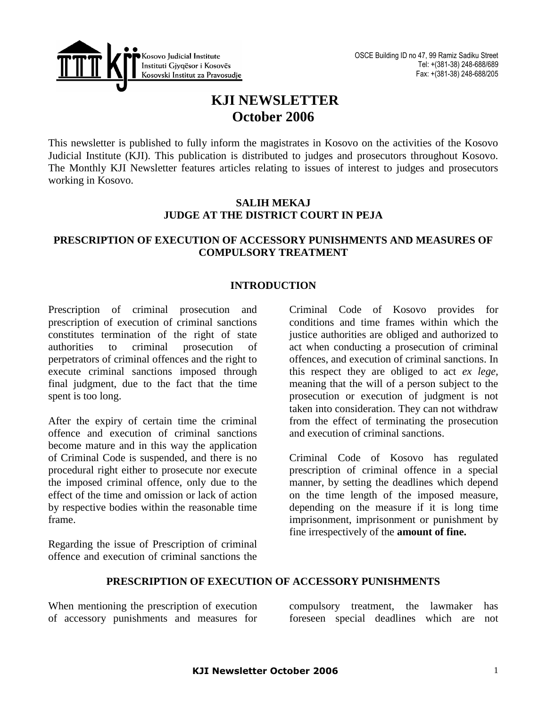

# **KJI NEWSLETTER October 2006**

This newsletter is published to fully inform the magistrates in Kosovo on the activities of the Kosovo Judicial Institute (KJI). This publication is distributed to judges and prosecutors throughout Kosovo. The Monthly KJI Newsletter features articles relating to issues of interest to judges and prosecutors working in Kosovo.

## **SALIH MEKAJ JUDGE AT THE DISTRICT COURT IN PEJA**

## **PRESCRIPTION OF EXECUTION OF ACCESSORY PUNISHMENTS AND MEASURES OF COMPULSORY TREATMENT**

## **INTRODUCTION**

Prescription of criminal prosecution and prescription of execution of criminal sanctions constitutes termination of the right of state authorities to criminal prosecution of perpetrators of criminal offences and the right to execute criminal sanctions imposed through final judgment, due to the fact that the time spent is too long.

After the expiry of certain time the criminal offence and execution of criminal sanctions become mature and in this way the application of Criminal Code is suspended, and there is no procedural right either to prosecute nor execute the imposed criminal offence, only due to the effect of the time and omission or lack of action by respective bodies within the reasonable time frame.

Regarding the issue of Prescription of criminal offence and execution of criminal sanctions the

Criminal Code of Kosovo provides for conditions and time frames within which the justice authorities are obliged and authorized to act when conducting a prosecution of criminal offences, and execution of criminal sanctions. In this respect they are obliged to act *ex lege,*  meaning that the will of a person subject to the prosecution or execution of judgment is not taken into consideration. They can not withdraw from the effect of terminating the prosecution and execution of criminal sanctions.

Criminal Code of Kosovo has regulated prescription of criminal offence in a special manner, by setting the deadlines which depend on the time length of the imposed measure, depending on the measure if it is long time imprisonment, imprisonment or punishment by fine irrespectively of the **amount of fine.** 

### **PRESCRIPTION OF EXECUTION OF ACCESSORY PUNISHMENTS**

When mentioning the prescription of execution of accessory punishments and measures for

compulsory treatment, the lawmaker has foreseen special deadlines which are not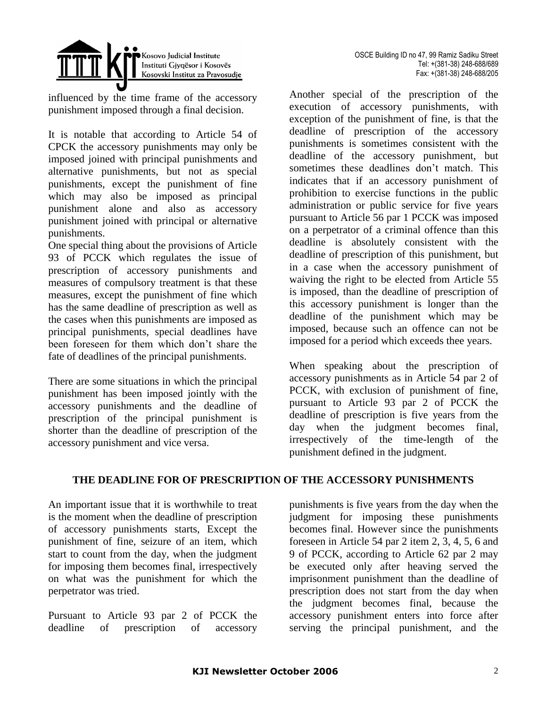



influenced by the time frame of the accessory punishment imposed through a final decision.

It is notable that according to Article 54 of CPCK the accessory punishments may only be imposed joined with principal punishments and alternative punishments, but not as special punishments, except the punishment of fine which may also be imposed as principal punishment alone and also as accessory punishment joined with principal or alternative punishments.

One special thing about the provisions of Article 93 of PCCK which regulates the issue of prescription of accessory punishments and measures of compulsory treatment is that these measures, except the punishment of fine which has the same deadline of prescription as well as the cases when this punishments are imposed as principal punishments, special deadlines have been foreseen for them which don't share the fate of deadlines of the principal punishments.

There are some situations in which the principal punishment has been imposed jointly with the accessory punishments and the deadline of prescription of the principal punishment is shorter than the deadline of prescription of the accessory punishment and vice versa.

Another special of the prescription of the execution of accessory punishments, with exception of the punishment of fine, is that the deadline of prescription of the accessory punishments is sometimes consistent with the deadline of the accessory punishment, but sometimes these deadlines don't match. This indicates that if an accessory punishment of prohibition to exercise functions in the public administration or public service for five years pursuant to Article 56 par 1 PCCK was imposed on a perpetrator of a criminal offence than this deadline is absolutely consistent with the deadline of prescription of this punishment, but in a case when the accessory punishment of waiving the right to be elected from Article 55 is imposed, than the deadline of prescription of this accessory punishment is longer than the deadline of the punishment which may be imposed, because such an offence can not be imposed for a period which exceeds thee years.

When speaking about the prescription of accessory punishments as in Article 54 par 2 of PCCK, with exclusion of punishment of fine, pursuant to Article 93 par 2 of PCCK the deadline of prescription is five years from the day when the judgment becomes final, irrespectively of the time-length of the punishment defined in the judgment.

## **THE DEADLINE FOR OF PRESCRIPTION OF THE ACCESSORY PUNISHMENTS**

An important issue that it is worthwhile to treat is the moment when the deadline of prescription of accessory punishments starts, Except the punishment of fine, seizure of an item, which start to count from the day, when the judgment for imposing them becomes final, irrespectively on what was the punishment for which the perpetrator was tried.

Pursuant to Article 93 par 2 of PCCK the deadline of prescription of accessory

punishments is five years from the day when the judgment for imposing these punishments becomes final. However since the punishments foreseen in Article 54 par 2 item 2, 3, 4, 5, 6 and 9 of PCCK, according to Article 62 par 2 may be executed only after heaving served the imprisonment punishment than the deadline of prescription does not start from the day when the judgment becomes final, because the accessory punishment enters into force after serving the principal punishment, and the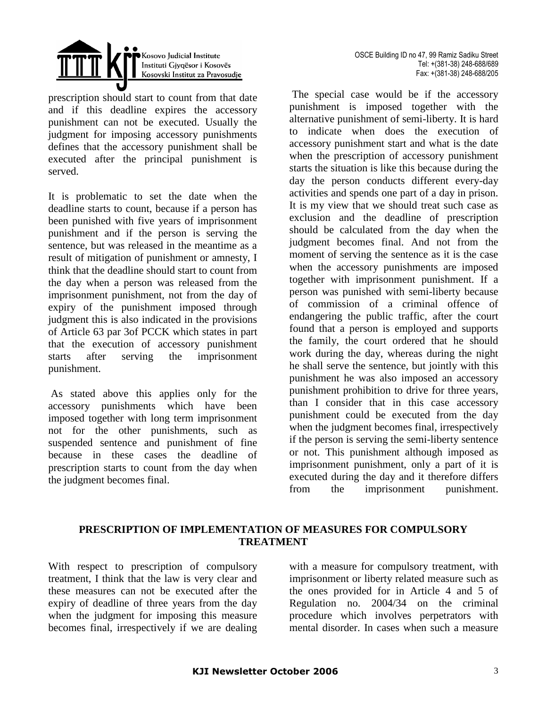

prescription should start to count from that date and if this deadline expires the accessory punishment can not be executed. Usually the judgment for imposing accessory punishments defines that the accessory punishment shall be executed after the principal punishment is served.

It is problematic to set the date when the deadline starts to count, because if a person has been punished with five years of imprisonment punishment and if the person is serving the sentence, but was released in the meantime as a result of mitigation of punishment or amnesty, I think that the deadline should start to count from the day when a person was released from the imprisonment punishment, not from the day of expiry of the punishment imposed through judgment this is also indicated in the provisions of Article 63 par 3of PCCK which states in part that the execution of accessory punishment starts after serving the imprisonment punishment.

As stated above this applies only for the accessory punishments which have been imposed together with long term imprisonment not for the other punishments, such as suspended sentence and punishment of fine because in these cases the deadline of prescription starts to count from the day when the judgment becomes final.

The special case would be if the accessory punishment is imposed together with the alternative punishment of semi-liberty. It is hard to indicate when does the execution of accessory punishment start and what is the date when the prescription of accessory punishment starts the situation is like this because during the day the person conducts different every-day activities and spends one part of a day in prison. It is my view that we should treat such case as exclusion and the deadline of prescription should be calculated from the day when the judgment becomes final. And not from the moment of serving the sentence as it is the case when the accessory punishments are imposed together with imprisonment punishment. If a person was punished with semi-liberty because of commission of a criminal offence of endangering the public traffic, after the court found that a person is employed and supports the family, the court ordered that he should work during the day, whereas during the night he shall serve the sentence, but jointly with this punishment he was also imposed an accessory punishment prohibition to drive for three years, than I consider that in this case accessory punishment could be executed from the day when the judgment becomes final, irrespectively if the person is serving the semi-liberty sentence or not. This punishment although imposed as imprisonment punishment, only a part of it is executed during the day and it therefore differs from the imprisonment punishment.

## **PRESCRIPTION OF IMPLEMENTATION OF MEASURES FOR COMPULSORY TREATMENT**

With respect to prescription of compulsory treatment, I think that the law is very clear and these measures can not be executed after the expiry of deadline of three years from the day when the judgment for imposing this measure becomes final, irrespectively if we are dealing with a measure for compulsory treatment, with imprisonment or liberty related measure such as the ones provided for in Article 4 and 5 of Regulation no. 2004/34 on the criminal procedure which involves perpetrators with mental disorder. In cases when such a measure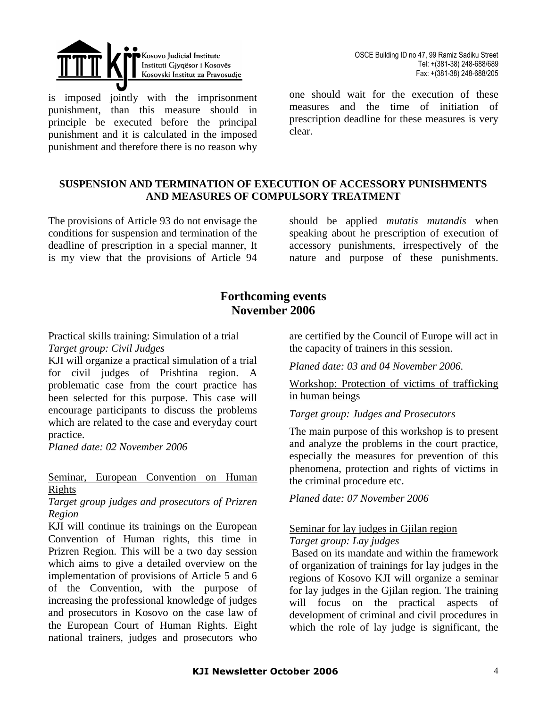

is imposed jointly with the imprisonment punishment, than this measure should in principle be executed before the principal punishment and it is calculated in the imposed punishment and therefore there is no reason why

OSCE Building ID no 47, 99 Ramiz Sadiku Street Tel: +(381-38) 248-688/689 Fax: +(381-38) 248-688/205

one should wait for the execution of these measures and the time of initiation of prescription deadline for these measures is very clear.

## **SUSPENSION AND TERMINATION OF EXECUTION OF ACCESSORY PUNISHMENTS AND MEASURES OF COMPULSORY TREATMENT**

The provisions of Article 93 do not envisage the conditions for suspension and termination of the deadline of prescription in a special manner, It is my view that the provisions of Article 94

should be applied *mutatis mutandis* when speaking about he prescription of execution of accessory punishments, irrespectively of the nature and purpose of these punishments.

## **Forthcoming events November 2006**

Practical skills training: Simulation of a trial

#### *Target group: Civil Judges*

KJI will organize a practical simulation of a trial for civil judges of Prishtina region. A problematic case from the court practice has been selected for this purpose. This case will encourage participants to discuss the problems which are related to the case and everyday court practice.

*Planed date: 02 November 2006* 

### Seminar, European Convention on Human Rights

*Target group judges and prosecutors of Prizren Region* 

KJI will continue its trainings on the European Convention of Human rights, this time in Prizren Region. This will be a two day session which aims to give a detailed overview on the implementation of provisions of Article 5 and 6 of the Convention, with the purpose of increasing the professional knowledge of judges and prosecutors in Kosovo on the case law of the European Court of Human Rights. Eight national trainers, judges and prosecutors who

are certified by the Council of Europe will act in the capacity of trainers in this session.

*Planed date: 03 and 04 November 2006.*

Workshop: Protection of victims of trafficking in human beings

*Target group: Judges and Prosecutors* 

The main purpose of this workshop is to present and analyze the problems in the court practice, especially the measures for prevention of this phenomena, protection and rights of victims in the criminal procedure etc.

*Planed date: 07 November 2006*

# Seminar for lay judges in Gjilan region

## *Target group: Lay judges*

Based on its mandate and within the framework of organization of trainings for lay judges in the regions of Kosovo KJI will organize a seminar for lay judges in the Gjilan region. The training will focus on the practical aspects of development of criminal and civil procedures in which the role of lay judge is significant, the